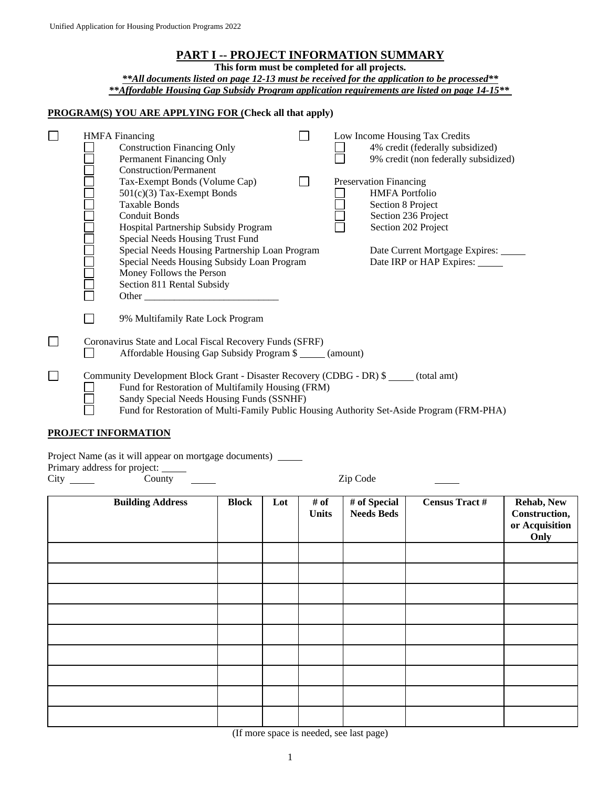**This form must be completed for all projects.**

*\*\*All documents listed on page 12-13 must be received for the application to be processed\*\* \*\*Affordable Housing Gap Subsidy Program application requirements are listed on page 14-15\*\**

#### **PROGRAM(S) YOU ARE APPLYING FOR (Check all that apply)**

|  | <b>HMFA</b> Financing<br><b>Construction Financing Only</b><br>Permanent Financing Only<br><b>Construction/Permanent</b>                                                                                                                                                                                                              |  | Low Income Housing Tax Credits<br>4% credit (federally subsidized)<br>9% credit (non federally subsidized)                                           |
|--|---------------------------------------------------------------------------------------------------------------------------------------------------------------------------------------------------------------------------------------------------------------------------------------------------------------------------------------|--|------------------------------------------------------------------------------------------------------------------------------------------------------|
|  | Tax-Exempt Bonds (Volume Cap)<br>501(c)(3) Tax-Exempt Bonds<br><b>Taxable Bonds</b><br><b>Conduit Bonds</b><br>Hospital Partnership Subsidy Program<br>Special Needs Housing Trust Fund<br>Special Needs Housing Partnership Loan Program                                                                                             |  | Preservation Financing<br><b>HMFA Portfolio</b><br>Section 8 Project<br>Section 236 Project<br>Section 202 Project<br>Date Current Mortgage Expires: |
|  | Special Needs Housing Subsidy Loan Program<br>Money Follows the Person<br>Section 811 Rental Subsidy<br>Other and the contract of the contract of the contract of the contract of the contract of the contract of the contract of the contract of the contract of the contract of the contract of the contract of the contract of the |  | Date IRP or HAP Expires:                                                                                                                             |
|  | 9% Multifamily Rate Lock Program                                                                                                                                                                                                                                                                                                      |  |                                                                                                                                                      |
|  | Coronavirus State and Local Fiscal Recovery Funds (SFRF)<br>Affordable Housing Gap Subsidy Program \$ ______ (amount)                                                                                                                                                                                                                 |  |                                                                                                                                                      |
|  | Community Development Block Grant - Disaster Recovery (CDBG - DR) \$ _____ (total amt)<br>Fund for Restoration of Multifamily Housing (FRM)<br>Sandy Special Needs Housing Funds (SSNHF)<br>Fund for Restoration of Multi-Family Public Housing Authority Set-Aside Program (FRM-PHA)                                                 |  |                                                                                                                                                      |

#### **PROJECT INFORMATION**

Project Name (as it will appear on mortgage documents) \_\_\_\_\_\_\_

Primary address for project: \_\_\_\_\_ City County County Zip Code

| <b>Building Address</b> | <b>Block</b> | Lot | # of<br><b>Units</b> | # of Special<br><b>Needs Beds</b> | <b>Census Tract #</b> | Rehab, New<br>Construction,<br>or Acquisition<br>Only |
|-------------------------|--------------|-----|----------------------|-----------------------------------|-----------------------|-------------------------------------------------------|
|                         |              |     |                      |                                   |                       |                                                       |
|                         |              |     |                      |                                   |                       |                                                       |
|                         |              |     |                      |                                   |                       |                                                       |
|                         |              |     |                      |                                   |                       |                                                       |
|                         |              |     |                      |                                   |                       |                                                       |
|                         |              |     |                      |                                   |                       |                                                       |
|                         |              |     |                      |                                   |                       |                                                       |
|                         |              |     |                      |                                   |                       |                                                       |
|                         |              |     |                      |                                   |                       |                                                       |

(If more space is needed, see last page)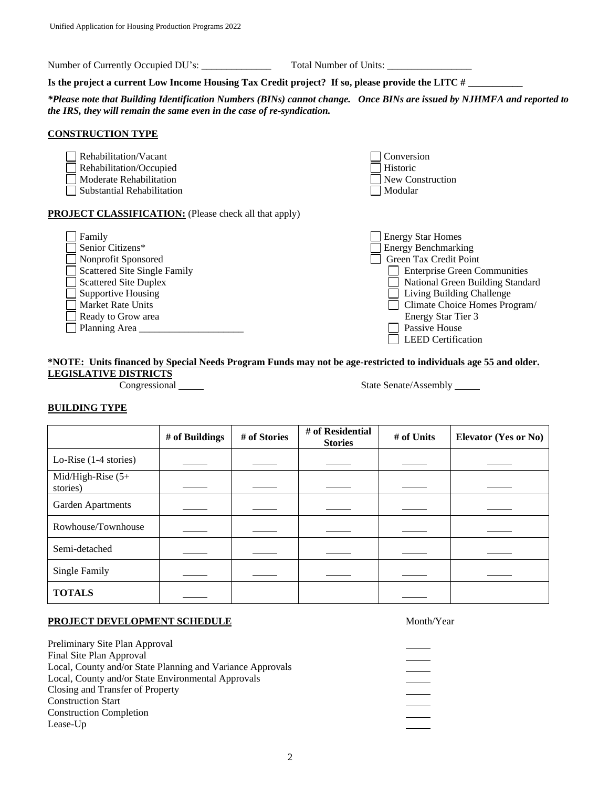Number of Currently Occupied DU's: \_\_\_\_\_\_\_\_\_\_\_\_\_\_ Total Number of Units: \_\_\_\_\_\_\_\_\_\_\_\_\_\_\_\_\_

Is the project a current Low Income Housing Tax Credit project? If so, please provide the LITC #

*\*Please note that Building Identification Numbers (BINs) cannot change. Once BINs are issued by NJHMFA and reported to the IRS, they will remain the same even in the case of re-syndication.* 

#### **CONSTRUCTION TYPE**

Rehabilitation/Vacant Conversion Rehabilitation/Occupied Historic Historic □ Moderate Rehabilitation New Construction  $\Box$  Substantial Rehabilitation  $\Box$  Modular **PROJECT CLASSIFICATION:** (Please check all that apply)

| Family                       | <b>Energy Star Homes</b>            |
|------------------------------|-------------------------------------|
| Senior Citizens*             | <b>Energy Benchmarking</b>          |
| Nonprofit Sponsored          | Green Tax Credit Point              |
| Scattered Site Single Family | <b>Enterprise Green Communities</b> |
| $\Box$ Scattered Site Duplex | National Green Building Standard    |
| $\Box$ Supportive Housing    | Living Building Challenge           |
| Market Rate Units            | Climate Choice Homes Program/       |
| Ready to Grow area           | Energy Star Tier 3                  |

Planning Area \_\_\_\_\_\_\_\_\_\_\_\_\_\_\_\_\_\_\_\_\_ Passive House

#### **\*NOTE: Units financed by Special Needs Program Funds may not be age-restricted to individuals age 55 and older. LEGISLATIVE DISTRICTS**

Congressional State Senate/Assembly

 $\overline{\Box}$  LEED Certification

#### **BUILDING TYPE**

|                                  | # of Buildings | # of Stories | # of Residential<br><b>Stories</b> | # of Units | <b>Elevator (Yes or No)</b> |
|----------------------------------|----------------|--------------|------------------------------------|------------|-----------------------------|
| Lo-Rise $(1-4$ stories)          |                |              |                                    |            |                             |
| Mid/High-Rise $(5+)$<br>stories) |                |              |                                    |            |                             |
| Garden Apartments                |                |              |                                    |            |                             |
| Rowhouse/Townhouse               |                |              |                                    |            |                             |
| Semi-detached                    |                |              |                                    |            |                             |
| <b>Single Family</b>             |                |              |                                    |            |                             |
| <b>TOTALS</b>                    |                |              |                                    |            |                             |

#### **PROJECT DEVELOPMENT SCHEDULE** Month/Year

Preliminary Site Plan Approval Final Site Plan Approval Local, County and/or State Planning and Variance Approvals Local, County and/or State Environmental Approvals Closing and Transfer of Property Construction Start Construction Completion Lease-Up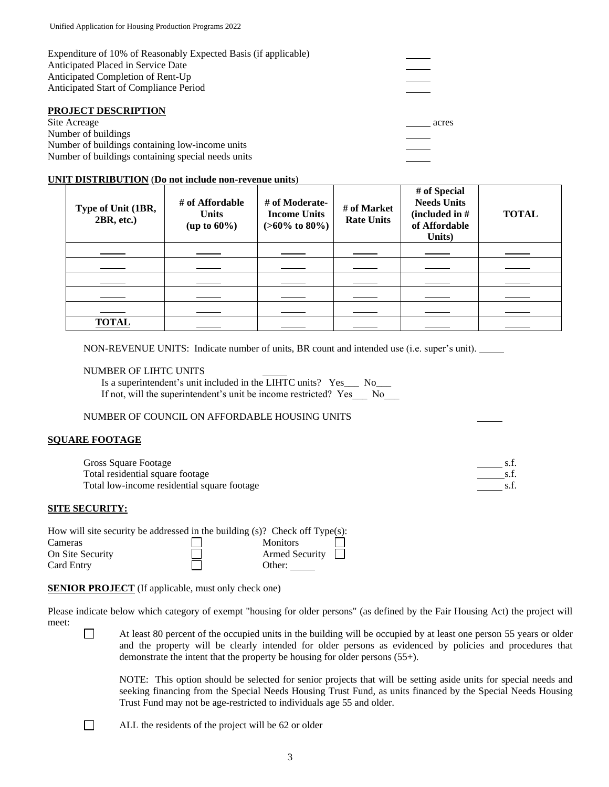| Expenditure of 10% of Reasonably Expected Basis (if applicable) |  |
|-----------------------------------------------------------------|--|
| Anticipated Placed in Service Date                              |  |
| Anticipated Completion of Rent-Up                               |  |
| Anticipated Start of Compliance Period                          |  |
|                                                                 |  |
|                                                                 |  |

#### **PROJECT DESCRIPTION**

Site Acreage acres acres acres acres acres acres acres acres acres acres acres acres acres acres acres acres acres acres acres acres acres acres acres acres acres acres acres acres acres acres acres acres acres acres acres Number of buildings Number of buildings containing low-income units Number of buildings containing special needs units

#### **UNIT DISTRIBUTION** (**Do not include non-revenue units**)

| Type of Unit (1BR,<br>2BR, etc.) | # of Affordable<br><b>Units</b><br>(up to $60\%$ ) | # of Moderate-<br><b>Income Units</b><br>$(>60\% \text{ to } 80\%)$ | # of Market<br><b>Rate Units</b> | # of Special<br><b>Needs Units</b><br>(included in $#$<br>of Affordable<br>Units) | <b>TOTAL</b> |
|----------------------------------|----------------------------------------------------|---------------------------------------------------------------------|----------------------------------|-----------------------------------------------------------------------------------|--------------|
|                                  |                                                    |                                                                     |                                  |                                                                                   |              |
|                                  |                                                    |                                                                     |                                  |                                                                                   |              |
|                                  |                                                    |                                                                     |                                  |                                                                                   |              |
|                                  |                                                    |                                                                     |                                  |                                                                                   |              |
|                                  |                                                    |                                                                     |                                  |                                                                                   |              |
| <b>TOTAL</b>                     |                                                    |                                                                     |                                  |                                                                                   |              |

NON-REVENUE UNITS: Indicate number of units, BR count and intended use (i.e. super's unit).

#### NUMBER OF LIHTC UNITS

Is a superintendent's unit included in the LIHTC units? Yes\_\_\_ No\_\_\_ If not, will the superintendent's unit be income restricted? Yes No

#### NUMBER OF COUNCIL ON AFFORDABLE HOUSING UNITS

#### **SQUARE FOOTAGE**

Gross Square Footage s.f. Section 3.f. Section 3.f. Section 3.f. Section 3.f. Section 3.f. Section 3.f. Section 3.f. Section 3.f. Section 3.f. Section 3.f. Section 3.f. Section 3.f. Section 3.f. Section 3.f. Section 3.f. S Total residential square footage s.f. Total low-income residential square footage states and square s.f.

#### **SITE SECURITY:**

 $\Box$ 

| How will site security be addressed in the building $(s)$ ? Check off Type $(s)$ : |                                  |
|------------------------------------------------------------------------------------|----------------------------------|
| Cameras                                                                            | <b>Monitors</b>                  |
| On Site Security                                                                   | $\blacksquare$<br>Armed Security |
| Card Entry                                                                         | Other:                           |

**SENIOR PROJECT** (If applicable, must only check one)

Please indicate below which category of exempt "housing for older persons" (as defined by the Fair Housing Act) the project will meet:

 At least 80 percent of the occupied units in the building will be occupied by at least one person 55 years or older and the property will be clearly intended for older persons as evidenced by policies and procedures that demonstrate the intent that the property be housing for older persons (55+).

NOTE: This option should be selected for senior projects that will be setting aside units for special needs and seeking financing from the Special Needs Housing Trust Fund, as units financed by the Special Needs Housing Trust Fund may not be age-restricted to individuals age 55 and older.

ALL the residents of the project will be 62 or older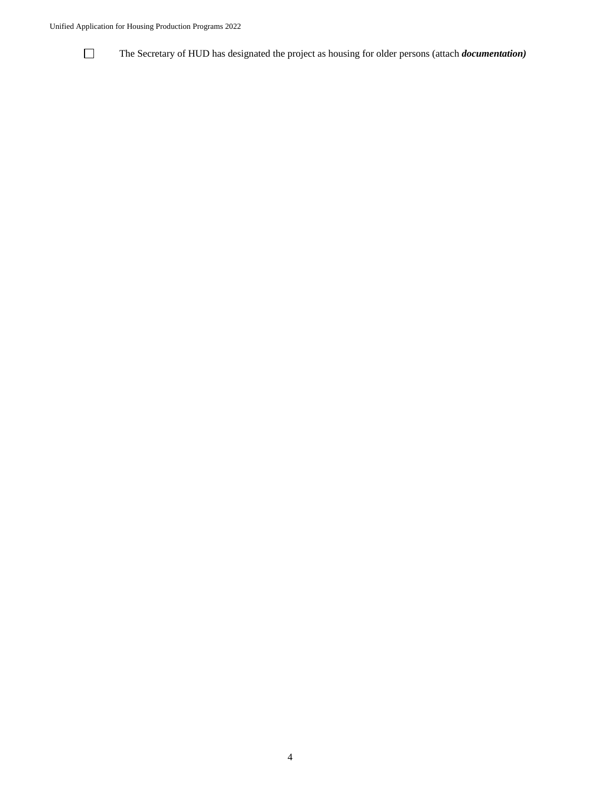#### Unified Application for Housing Production Programs 2022



The Secretary of HUD has designated the project as housing for older persons (attach *documentation)*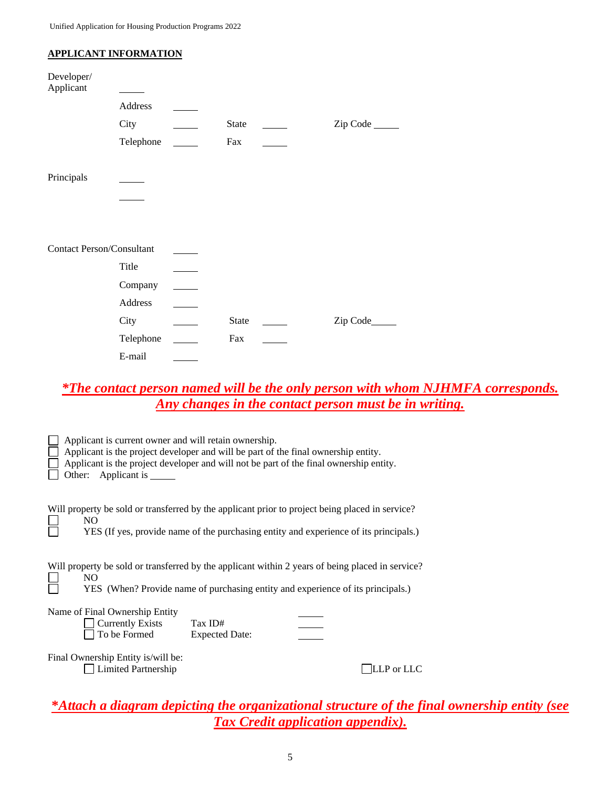#### **APPLICANT INFORMATION**

| Developer/<br>Applicant          |           |              |           |
|----------------------------------|-----------|--------------|-----------|
|                                  | Address   |              |           |
|                                  | City      | <b>State</b> | Zip Code  |
|                                  | Telephone | Fax          |           |
| Principals                       |           |              |           |
|                                  |           |              |           |
|                                  |           |              |           |
|                                  |           |              |           |
| <b>Contact Person/Consultant</b> |           |              |           |
|                                  | Title     |              |           |
|                                  | Company   |              |           |
|                                  | Address   |              |           |
|                                  | City      | <b>State</b> | Zip Code_ |
|                                  | Telephone | Fax          |           |
|                                  | E-mail    |              |           |

# *\*The contact person named will be the only person with whom NJHMFA corresponds. Any changes in the contact person must be in writing.*

| Applicant is current owner and will retain ownership.<br>Other: Applicant is | Applicant is the project developer and will be part of the final ownership entity.<br>Applicant is the project developer and will not be part of the final ownership entity.             |  |
|------------------------------------------------------------------------------|------------------------------------------------------------------------------------------------------------------------------------------------------------------------------------------|--|
| NO.                                                                          | Will property be sold or transferred by the applicant prior to project being placed in service?<br>YES (If yes, provide name of the purchasing entity and experience of its principals.) |  |
| NO.                                                                          | Will property be sold or transferred by the applicant within 2 years of being placed in service?<br>YES (When? Provide name of purchasing entity and experience of its principals.)      |  |
| Name of Final Ownership Entity<br><b>Currently Exists</b><br>To be Formed    | Tax ID#<br><b>Expected Date:</b>                                                                                                                                                         |  |
| Final Ownership Entity is/will be:<br><b>Limited Partnership</b>             | LLP or LLC                                                                                                                                                                               |  |

# **\****Attach a diagram depicting the organizational structure of the final ownership entity (see Tax Credit application appendix).*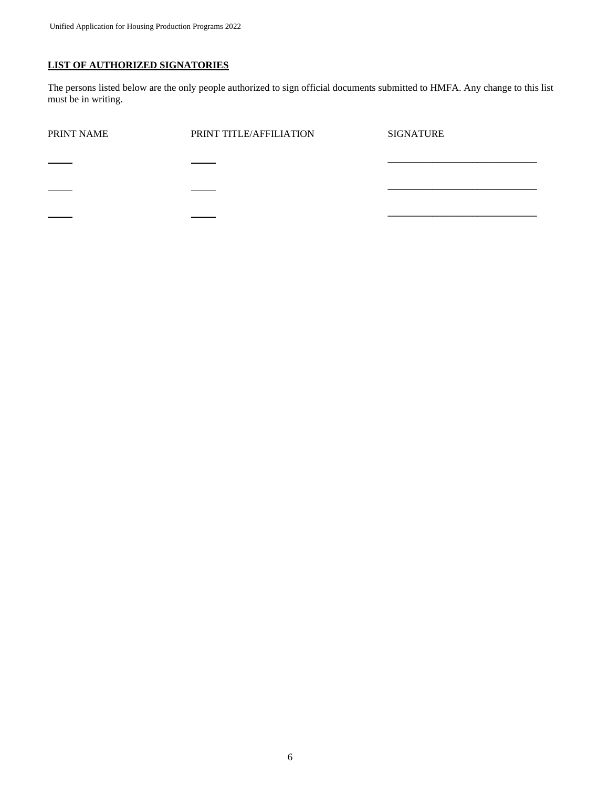### **LIST OF AUTHORIZED SIGNATORIES**

The persons listed below are the only people authorized to sign official documents submitted to HMFA. Any change to this list must be in writing.

| PRINT NAME | PRINT TITLE/AFFILIATION | <b>SIGNATURE</b> |
|------------|-------------------------|------------------|
|            |                         |                  |
|            |                         |                  |
|            |                         |                  |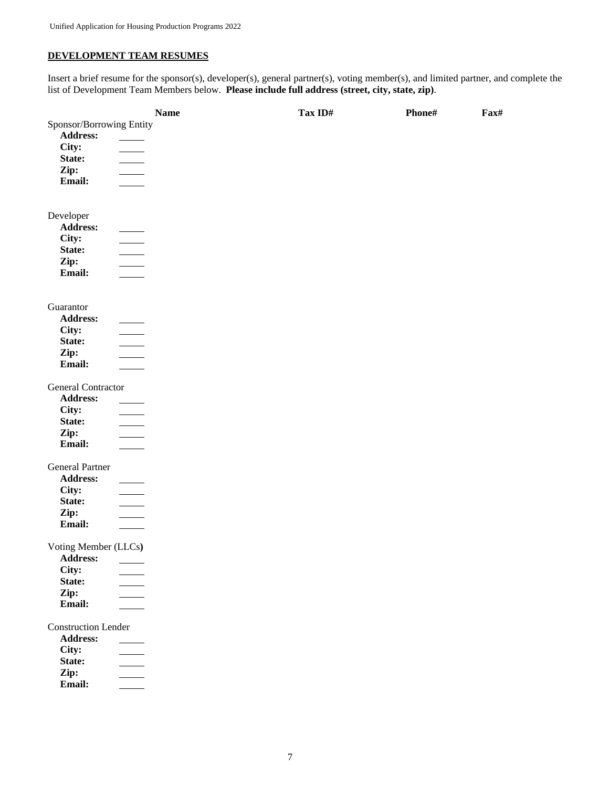### **DEVELOPMENT TEAM RESUMES**

Insert a brief resume for the sponsor(s), developer(s), general partner(s), voting member(s), and limited partner, and complete the list of Development Team Members below. **Please include full address (street, city, state, zip)**.

|                            | <b>Name</b>              | Tax ID# | Phone# | Fax# |
|----------------------------|--------------------------|---------|--------|------|
| Sponsor/Borrowing Entity   |                          |         |        |      |
| Address:                   |                          |         |        |      |
| City:                      |                          |         |        |      |
| State:                     | $\overline{\phantom{a}}$ |         |        |      |
| Zip:                       |                          |         |        |      |
| Email:                     |                          |         |        |      |
|                            |                          |         |        |      |
|                            |                          |         |        |      |
| Developer                  |                          |         |        |      |
| Address:                   |                          |         |        |      |
| City:                      |                          |         |        |      |
| State:                     | $\overline{\phantom{a}}$ |         |        |      |
| Zip:                       |                          |         |        |      |
| Email:                     | $\frac{1}{2}$            |         |        |      |
|                            |                          |         |        |      |
| Guarantor                  |                          |         |        |      |
| Address:                   |                          |         |        |      |
| City:                      |                          |         |        |      |
| State:                     |                          |         |        |      |
| Zip:                       | $\frac{1}{1}$            |         |        |      |
| Email:                     |                          |         |        |      |
| General Contractor         |                          |         |        |      |
| Address:                   |                          |         |        |      |
| City:                      |                          |         |        |      |
| State:                     | $\overline{\phantom{a}}$ |         |        |      |
| Zip:                       | $\overline{\phantom{a}}$ |         |        |      |
| Email:                     |                          |         |        |      |
|                            |                          |         |        |      |
| <b>General Partner</b>     |                          |         |        |      |
| <b>Address:</b>            |                          |         |        |      |
| City:                      |                          |         |        |      |
| State:                     |                          |         |        |      |
| Zip:                       |                          |         |        |      |
| Email:                     |                          |         |        |      |
| Voting Member (LLCs)       |                          |         |        |      |
| Address:                   |                          |         |        |      |
| City:                      |                          |         |        |      |
| State:                     |                          |         |        |      |
| Zip:                       |                          |         |        |      |
| Email:                     |                          |         |        |      |
| <b>Construction Lender</b> |                          |         |        |      |
| Address:                   |                          |         |        |      |
| City:                      |                          |         |        |      |
| State:                     | $\mathcal{L}$            |         |        |      |
| Zip:                       |                          |         |        |      |
| Email:                     |                          |         |        |      |
|                            |                          |         |        |      |
|                            |                          |         |        |      |
|                            |                          |         |        |      |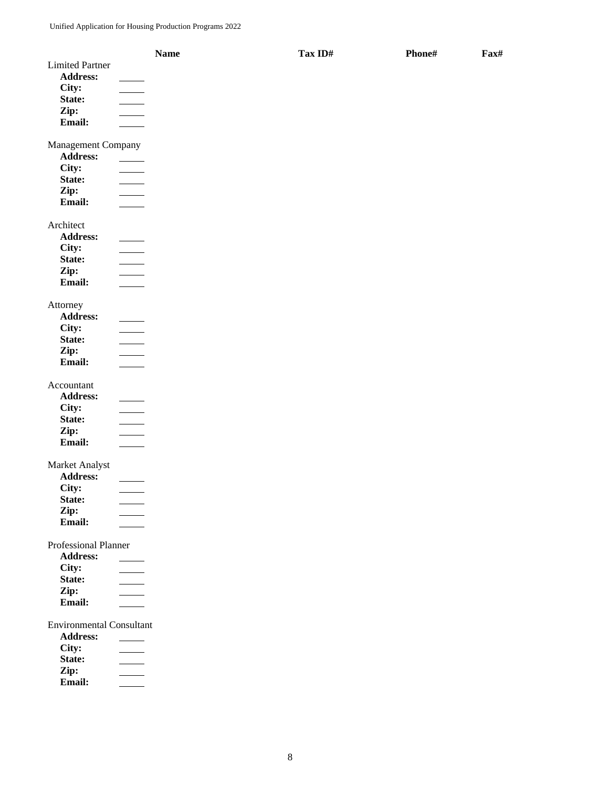|                                 | <b>Name</b>              | Tax ID# | Phone# | Fax# |
|---------------------------------|--------------------------|---------|--------|------|
| <b>Limited Partner</b>          |                          |         |        |      |
| Address:                        |                          |         |        |      |
| City:                           |                          |         |        |      |
| State:                          |                          |         |        |      |
| Zip:                            |                          |         |        |      |
| Email:                          |                          |         |        |      |
|                                 |                          |         |        |      |
| Management Company              |                          |         |        |      |
| <b>Address:</b>                 |                          |         |        |      |
| City:                           |                          |         |        |      |
| State:                          |                          |         |        |      |
| Zip:                            |                          |         |        |      |
| Email:                          |                          |         |        |      |
|                                 |                          |         |        |      |
| Architect                       |                          |         |        |      |
| <b>Address:</b>                 |                          |         |        |      |
| City:                           |                          |         |        |      |
| State:                          | $\overline{\phantom{a}}$ |         |        |      |
| Zip:                            | $\mathcal{L}$            |         |        |      |
| Email:                          |                          |         |        |      |
|                                 |                          |         |        |      |
| Attorney                        |                          |         |        |      |
| Address:                        |                          |         |        |      |
| City:                           |                          |         |        |      |
| State:                          | $\overline{\phantom{a}}$ |         |        |      |
| Zip:                            |                          |         |        |      |
| Email:                          |                          |         |        |      |
|                                 |                          |         |        |      |
| Accountant                      |                          |         |        |      |
| <b>Address:</b>                 |                          |         |        |      |
| City:                           |                          |         |        |      |
| State:                          |                          |         |        |      |
| Zip:                            |                          |         |        |      |
| Email:                          |                          |         |        |      |
|                                 |                          |         |        |      |
| Market Analyst                  |                          |         |        |      |
| Address:                        |                          |         |        |      |
| City:                           |                          |         |        |      |
| State:                          |                          |         |        |      |
| Zip:                            |                          |         |        |      |
| Email:                          |                          |         |        |      |
| <b>Professional Planner</b>     |                          |         |        |      |
| Address:                        |                          |         |        |      |
| City:                           |                          |         |        |      |
| State:                          |                          |         |        |      |
| Zip:                            |                          |         |        |      |
| Email:                          |                          |         |        |      |
|                                 |                          |         |        |      |
| <b>Environmental Consultant</b> |                          |         |        |      |
| <b>Address:</b>                 |                          |         |        |      |
| City:                           |                          |         |        |      |
| State:                          |                          |         |        |      |
| Zip:                            |                          |         |        |      |
| Email:                          |                          |         |        |      |
|                                 |                          |         |        |      |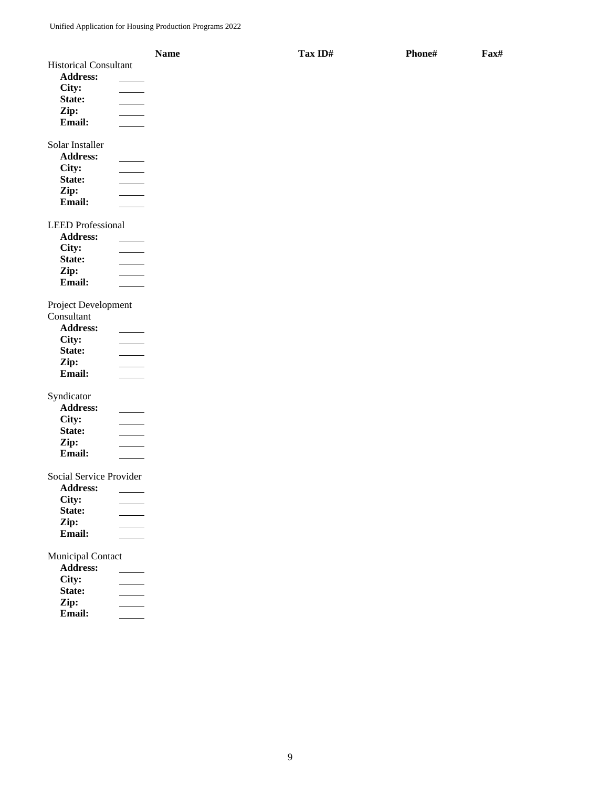|                                    | <b>Name</b> | Tax ID# | Phone# | Fax# |
|------------------------------------|-------------|---------|--------|------|
| <b>Historical Consultant</b>       |             |         |        |      |
| <b>Address:</b>                    |             |         |        |      |
| City:                              |             |         |        |      |
| State:                             |             |         |        |      |
| Zip:                               |             |         |        |      |
| Email:                             |             |         |        |      |
|                                    |             |         |        |      |
| Solar Installer                    |             |         |        |      |
| Address:                           |             |         |        |      |
| City:                              |             |         |        |      |
| State:                             |             |         |        |      |
| Zip:                               |             |         |        |      |
| Email:                             |             |         |        |      |
|                                    |             |         |        |      |
| <b>LEED</b> Professional           |             |         |        |      |
| <b>Address:</b>                    |             |         |        |      |
| City:                              |             |         |        |      |
| State:                             |             |         |        |      |
| Zip:                               |             |         |        |      |
| Email:                             |             |         |        |      |
| Project Development                |             |         |        |      |
| Consultant                         |             |         |        |      |
| Address:                           |             |         |        |      |
| City:<br>$\overline{\phantom{a}}$  |             |         |        |      |
| State:<br>$\overline{\phantom{a}}$ |             |         |        |      |
| Zip:                               |             |         |        |      |
| Email:                             |             |         |        |      |
|                                    |             |         |        |      |
| Syndicator                         |             |         |        |      |
| Address:                           |             |         |        |      |
| City:                              |             |         |        |      |
| State:                             |             |         |        |      |
| Zip:<br>Email:                     |             |         |        |      |
|                                    |             |         |        |      |
| Social Service Provider            |             |         |        |      |
| Address:                           |             |         |        |      |
| City:                              |             |         |        |      |
| State:                             |             |         |        |      |
| Zip:                               |             |         |        |      |
| Email:                             |             |         |        |      |
|                                    |             |         |        |      |
| Municipal Contact                  |             |         |        |      |
| Address:                           |             |         |        |      |
| City:                              |             |         |        |      |
| State:                             |             |         |        |      |
| Zip:                               |             |         |        |      |
| Email:                             |             |         |        |      |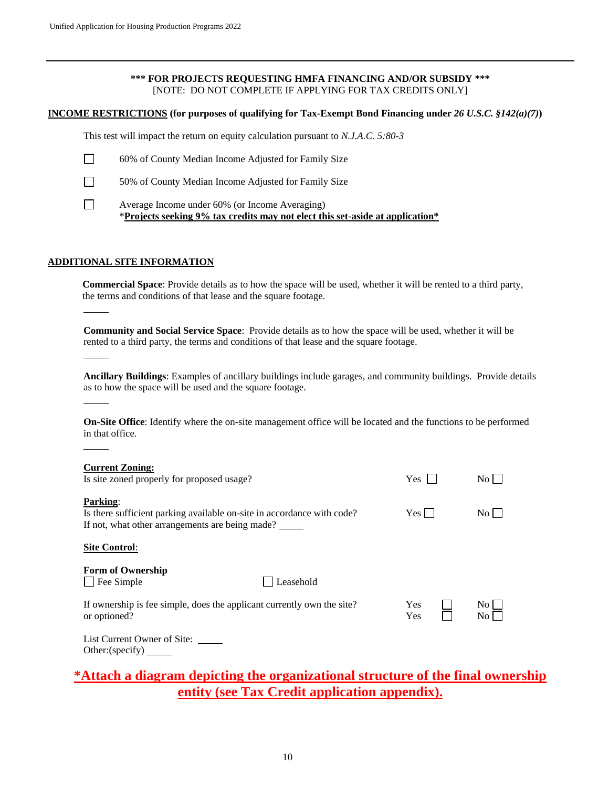#### **\*\*\* FOR PROJECTS REQUESTING HMFA FINANCING AND/OR SUBSIDY \*\*\*** [NOTE: DO NOT COMPLETE IF APPLYING FOR TAX CREDITS ONLY]

#### **INCOME RESTRICTIONS (for purposes of qualifying for Tax-Exempt Bond Financing under** *26 U.S.C. §142(a)(7)***)**

This test will impact the return on equity calculation pursuant to *N.J.A.C. 5:80-3*



- 60% of County Median Income Adjusted for Family Size
- 50% of County Median Income Adjusted for Family Size
- $\Box$

Average Income under 60% (or Income Averaging) \***Projects seeking 9% tax credits may not elect this set-aside at application\*** 

#### **ADDITIONAL SITE INFORMATION**

**Commercial Space**: Provide details as to how the space will be used, whether it will be rented to a third party, the terms and conditions of that lease and the square footage.

**Community and Social Service Space**: Provide details as to how the space will be used, whether it will be rented to a third party, the terms and conditions of that lease and the square footage.

**Ancillary Buildings**: Examples of ancillary buildings include garages, and community buildings. Provide details as to how the space will be used and the square footage.

**On-Site Office**: Identify where the on-site management office will be located and the functions to be performed in that office.

| <b>Current Zoning:</b><br>Is site zoned properly for proposed usage?                                                                         | Yes        | $\rm{No}$                 |
|----------------------------------------------------------------------------------------------------------------------------------------------|------------|---------------------------|
| <b>Parking:</b><br>Is there sufficient parking available on-site in accordance with code?<br>If not, what other arrangements are being made? | Yes l      | No l                      |
| <b>Site Control:</b>                                                                                                                         |            |                           |
| <b>Form of Ownership</b><br>Fee Simple<br>Leasehold                                                                                          |            |                           |
| If ownership is fee simple, does the applicant currently own the site?<br>or optioned?                                                       | Yes<br>Yes | No.<br>$\overline{N_{O}}$ |
| List Current Owner of Site:<br>Other:(specific)                                                                                              |            |                           |

# **\*Attach a diagram depicting the organizational structure of the final ownership entity (see Tax Credit application appendix).**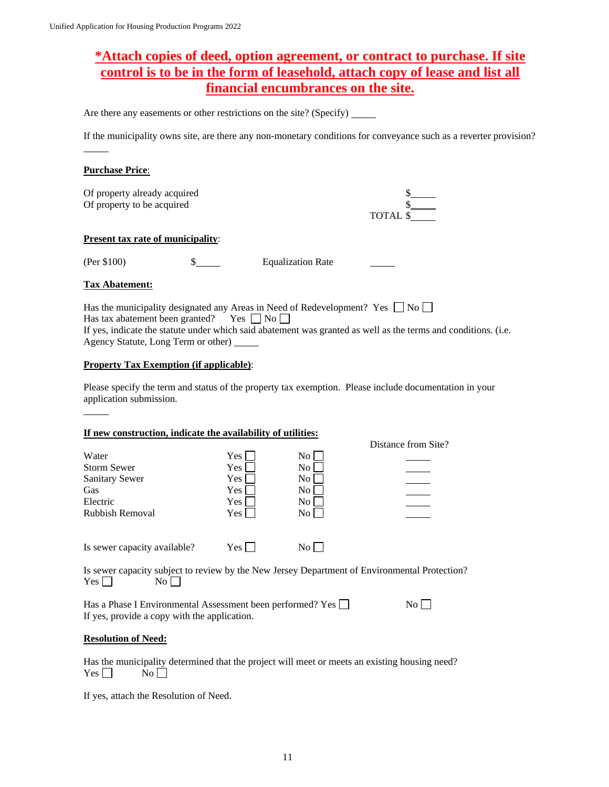# **\*Attach copies of deed, option agreement, or contract to purchase. If site control is to be in the form of leasehold, attach copy of lease and list all financial encumbrances on the site.**

Are there any easements or other restrictions on the site? (Specify) \_\_\_\_\_\_\_\_\_\_\_\_

If the municipality owns site, are there any non-monetary conditions for conveyance such as a reverter provision?

#### **Purchase Price**:

Of property already acquired Of property to be acquired

| TOTAL \$ |  |
|----------|--|

#### **Present tax rate of municipality**:

(Per \$100) \$ Equalization Rate

#### **Tax Abatement:**

Has the municipality designated any Areas in Need of Redevelopment? Yes  $\Box$  No  $\Box$ Has tax abatement been granted? Yes  $\Box$  No  $\Box$ If yes, indicate the statute under which said abatement was granted as well as the terms and conditions. (i.e. Agency Statute, Long Term or other)

#### **Property Tax Exemption (if applicable)**:

Please specify the term and status of the property tax exemption. Please include documentation in your application submission.

#### **If new construction, indicate the availability of utilities:**

|                              |       |                    | Distance from Site? |
|------------------------------|-------|--------------------|---------------------|
| Water                        | Yes   | $\overline{N_{O}}$ |                     |
| <b>Storm Sewer</b>           | Yes   | $\overline{N_{O}}$ |                     |
| <b>Sanitary Sewer</b>        | Yes   | $\overline{N_{O}}$ |                     |
| Gas                          | Yes   | No.                |                     |
| Electric                     | Yes   | $\overline{N_{O}}$ |                     |
| <b>Rubbish Removal</b>       | Yes l | $\overline{N_{0}}$ |                     |
| Is sewer capacity available? | Yes   | No.                |                     |

Is sewer capacity subject to review by the New Jersey Department of Environmental Protection? Yes No

Has a Phase I Environmental Assessment been performed? Yes  $\Box$  No  $\Box$ If yes, provide a copy with the application.

#### **Resolution of Need:**

Has the municipality determined that the project will meet or meets an existing housing need?  $Yes \Box$  No  $\Box$ 

If yes, attach the Resolution of Need.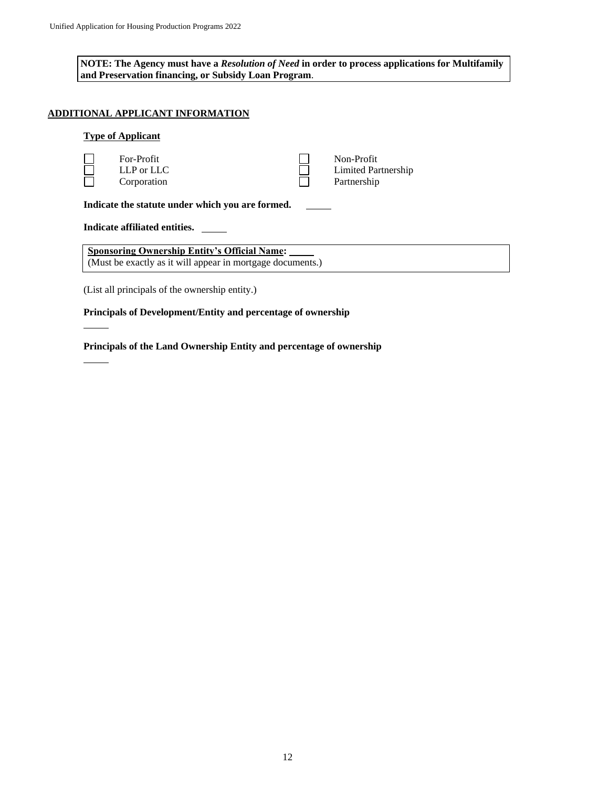**NOTE: The Agency must have a** *Resolution of Need* **in order to process applications for Multifamily and Preservation financing, or Subsidy Loan Program**.

### **ADDITIONAL APPLICANT INFORMATION**

#### **Type of Applicant**

|                                                                                                                   | For-Profit<br>$LLP$ or $LLC$<br>Corporation |  | Non-Profit<br>Limited Partnership<br>Partnership |  |
|-------------------------------------------------------------------------------------------------------------------|---------------------------------------------|--|--------------------------------------------------|--|
| Indicate the statute under which you are formed.                                                                  |                                             |  |                                                  |  |
| Indicate affiliated entities.                                                                                     |                                             |  |                                                  |  |
| <b>Sponsoring Ownership Entity's Official Name:</b><br>(Must be exactly as it will appear in mortgage documents.) |                                             |  |                                                  |  |

(List all principals of the ownership entity.)

**Principals of Development/Entity and percentage of ownership**

**Principals of the Land Ownership Entity and percentage of ownership**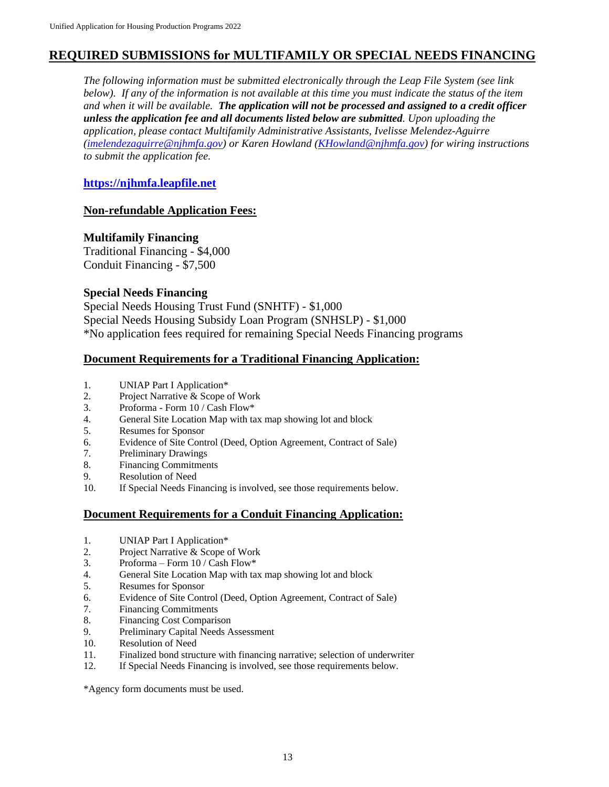# **REQUIRED SUBMISSIONS for MULTIFAMILY OR SPECIAL NEEDS FINANCING**

*The following information must be submitted electronically through the Leap File System (see link below). If any of the information is not available at this time you must indicate the status of the item and when it will be available. The application will not be processed and assigned to a credit officer unless the application fee and all documents listed below are submitted. Upon uploading the application, please contact Multifamily Administrative Assistants, Ivelisse Melendez-Aguirre [\(imelendezaguirre@njhmfa.gov\)](mailto:imelendezaguirre@njhmfa.gov) or Karen Howland [\(KHowland@njhmfa.gov\)](mailto:KHowland@njhmfa.gov) for wiring instructions to submit the application fee.*

### **[https://njhmfa.leapfile.net](https://linkprotect.cudasvc.com/url?a=https%3a%2f%2fnjhmfa.leapfile.net&c=E,1,raF07LmFco4W3scXeLUwXcy3y5PLJWx6NDoMVzHeB2S_-P3KruRH98-0BbLguv9BtzG9rv32DadgMPGXAxFLxa4HDi-C9ttsXxqOZgobhjBx2JCVsg,,&typo=1)**

### **Non-refundable Application Fees:**

### **Multifamily Financing**

Traditional Financing - \$4,000 Conduit Financing - \$7,500

### **Special Needs Financing**

Special Needs Housing Trust Fund (SNHTF) - \$1,000 Special Needs Housing Subsidy Loan Program (SNHSLP) - \$1,000 \*No application fees required for remaining Special Needs Financing programs

### **Document Requirements for a Traditional Financing Application:**

- 1. UNIAP Part I Application\*
- 2. Project Narrative & Scope of Work
- 3. Proforma Form 10 / Cash Flow\*
- 4. General Site Location Map with tax map showing lot and block
- 5. Resumes for Sponsor
- 6. Evidence of Site Control (Deed, Option Agreement, Contract of Sale)
- 7. Preliminary Drawings
- 8. Financing Commitments
- 9. Resolution of Need
- 10. If Special Needs Financing is involved, see those requirements below.

## **Document Requirements for a Conduit Financing Application:**

- 1. UNIAP Part I Application\*
- 2. Project Narrative & Scope of Work
- 3. Proforma Form 10 / Cash Flow\*
- 4. General Site Location Map with tax map showing lot and block
- 5. Resumes for Sponsor
- 6. Evidence of Site Control (Deed, Option Agreement, Contract of Sale)
- 7. Financing Commitments
- 8. Financing Cost Comparison
- 9. Preliminary Capital Needs Assessment
- 10. Resolution of Need
- 11. Finalized bond structure with financing narrative; selection of underwriter
- 12. If Special Needs Financing is involved, see those requirements below.

\*Agency form documents must be used.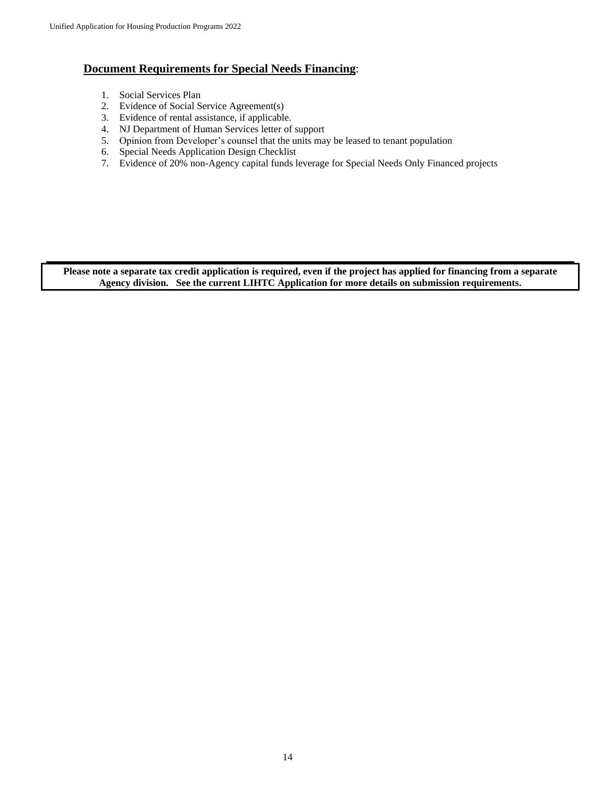## **Document Requirements for Special Needs Financing**:

- 1. Social Services Plan
- 2. Evidence of Social Service Agreement(s)
- 3. Evidence of rental assistance, if applicable.
- 4. NJ Department of Human Services letter of support
- 5. Opinion from Developer's counsel that the units may be leased to tenant population
- 6. Special Needs Application Design Checklist
- 7. Evidence of 20% non-Agency capital funds leverage for Special Needs Only Financed projects

**Please note a separate tax credit application is required, even if the project has applied for financing from a separate Agency division. See the current LIHTC Application for more details on submission requirements.**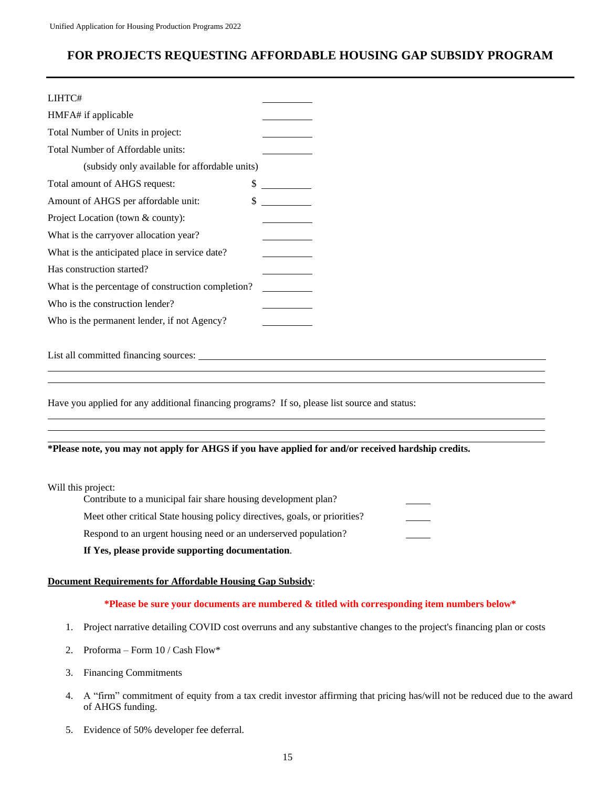# **FOR PROJECTS REQUESTING AFFORDABLE HOUSING GAP SUBSIDY PROGRAM**

| LIHTC#                                             |  |
|----------------------------------------------------|--|
| HMFA# if applicable                                |  |
| Total Number of Units in project:                  |  |
| Total Number of Affordable units:                  |  |
| (subsidy only available for affordable units)      |  |
| \$<br>Total amount of AHGS request:                |  |
| \$<br>Amount of AHGS per affordable unit:          |  |
| Project Location (town & county):                  |  |
| What is the carryover allocation year?             |  |
| What is the anticipated place in service date?     |  |
| Has construction started?                          |  |
| What is the percentage of construction completion? |  |
| Who is the construction lender?                    |  |
| Who is the permanent lender, if not Agency?        |  |
|                                                    |  |

List all committed financing sources:

Have you applied for any additional financing programs? If so, please list source and status:

#### **\*Please note, you may not apply for AHGS if you have applied for and/or received hardship credits.**

Will this project:

Contribute to a municipal fair share housing development plan? Meet other critical State housing policy directives, goals, or priorities? Respond to an urgent housing need or an underserved population?

#### **If Yes, please provide supporting documentation**.

#### **Document Requirements for Affordable Housing Gap Subsidy**:

#### **\*Please be sure your documents are numbered & titled with corresponding item numbers below\***

- 1. Project narrative detailing COVID cost overruns and any substantive changes to the project's financing plan or costs
- 2. Proforma Form 10 / Cash Flow\*
- 3. Financing Commitments
- 4. A "firm" commitment of equity from a tax credit investor affirming that pricing has/will not be reduced due to the award of AHGS funding.
- 5. Evidence of 50% developer fee deferral.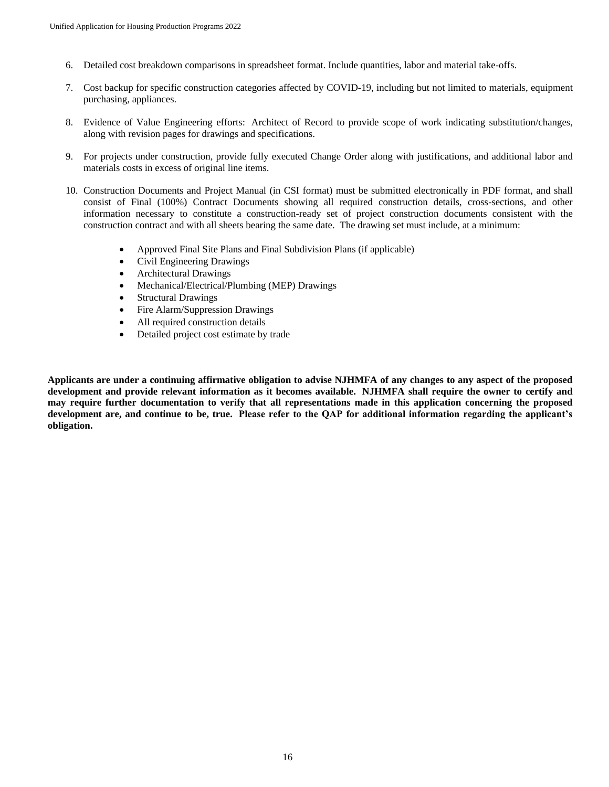- 6. Detailed cost breakdown comparisons in spreadsheet format. Include quantities, labor and material take-offs.
- 7. Cost backup for specific construction categories affected by COVID-19, including but not limited to materials, equipment purchasing, appliances.
- 8. Evidence of Value Engineering efforts: Architect of Record to provide scope of work indicating substitution/changes, along with revision pages for drawings and specifications.
- 9. For projects under construction, provide fully executed Change Order along with justifications, and additional labor and materials costs in excess of original line items.
- 10. Construction Documents and Project Manual (in CSI format) must be submitted electronically in PDF format, and shall consist of Final (100%) Contract Documents showing all required construction details, cross-sections, and other information necessary to constitute a construction-ready set of project construction documents consistent with the construction contract and with all sheets bearing the same date. The drawing set must include, at a minimum:
	- Approved Final Site Plans and Final Subdivision Plans (if applicable)
	- Civil Engineering Drawings
	- Architectural Drawings
	- Mechanical/Electrical/Plumbing (MEP) Drawings
	- Structural Drawings
	- Fire Alarm/Suppression Drawings
	- All required construction details
	- Detailed project cost estimate by trade

**Applicants are under a continuing affirmative obligation to advise NJHMFA of any changes to any aspect of the proposed development and provide relevant information as it becomes available. NJHMFA shall require the owner to certify and may require further documentation to verify that all representations made in this application concerning the proposed development are, and continue to be, true. Please refer to the QAP for additional information regarding the applicant's obligation.**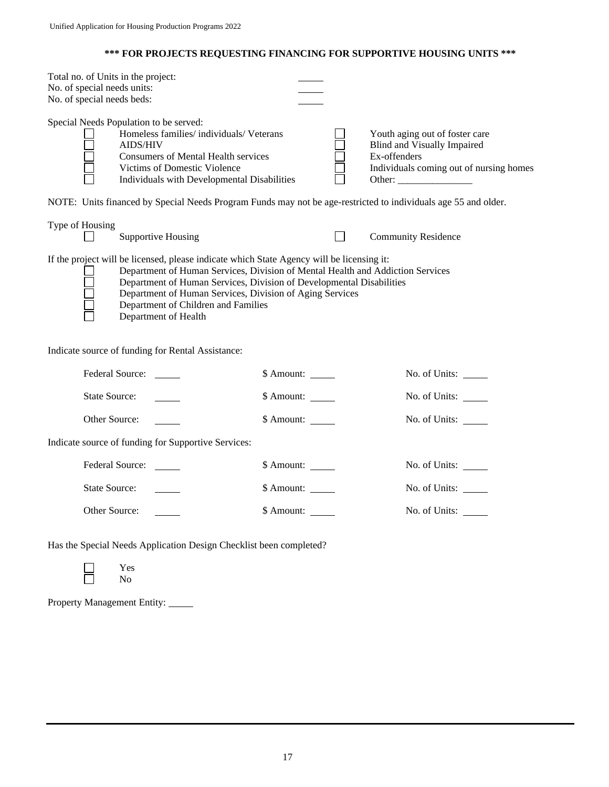#### **\*\*\* FOR PROJECTS REQUESTING FINANCING FOR SUPPORTIVE HOUSING UNITS \*\*\***

| Total no. of Units in the project:<br>No. of special needs units:<br>No. of special needs beds: |                                                                                                                                                                                                                             |  |                                                                                                                                    |
|-------------------------------------------------------------------------------------------------|-----------------------------------------------------------------------------------------------------------------------------------------------------------------------------------------------------------------------------|--|------------------------------------------------------------------------------------------------------------------------------------|
|                                                                                                 | Special Needs Population to be served:<br>Homeless families/ individuals/ Veterans<br><b>AIDS/HIV</b><br>Consumers of Mental Health services<br>Victims of Domestic Violence<br>Individuals with Developmental Disabilities |  | Youth aging out of foster care<br>Blind and Visually Impaired<br>Ex-offenders<br>Individuals coming out of nursing homes<br>Other: |

NOTE: Units financed by Special Needs Program Funds may not be age-restricted to individuals age 55 and older.

| Type of Housing |                    |                            |
|-----------------|--------------------|----------------------------|
|                 | Supportive Housing | <b>Community Residence</b> |

If the project will be licensed, please indicate which State Agency will be licensing it:

Department of Human Services, Division of Mental Health and Addiction Services

| $\Box$ | Department of Human Services, Division of Developmental Disabilities |
|--------|----------------------------------------------------------------------|
| $\Box$ | Department of Human Services, Division of Aging Services             |
| $\Box$ | Department of Children and Families                                  |
|        | Department of Health                                                 |

- Department of Human Services, Division of Aging Services
- Department of Children and Families

Department of Health

Indicate source of funding for Rental Assistance:

| Federal Source:                                     | \$ Amount:               | No. of Units: $\_\_$ |
|-----------------------------------------------------|--------------------------|----------------------|
| State Source:                                       | $$$ Amount:              | No. of Units:        |
| Other Source:                                       |                          | No. of Units:        |
| Indicate source of funding for Supportive Services: |                          |                      |
| Federal Source:                                     | \$ Amount:               | No. of Units:        |
| State Source:                                       | $\quad$ Amount: _______  | No. of Units:        |
| Other Source:                                       | $\delta$ Amount: _______ | No. of Units:        |

Has the Special Needs Application Design Checklist been completed?

Property Management Entity:

Yes No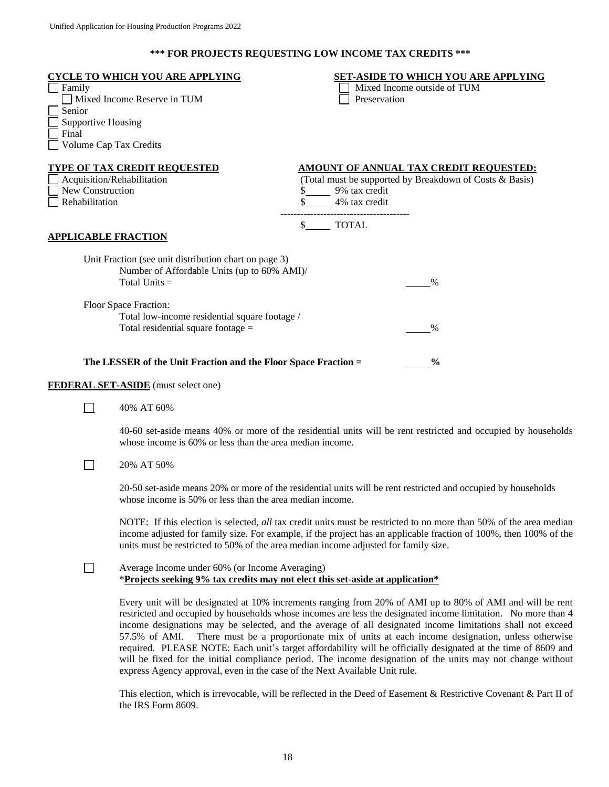## **\*\*\* FOR PROJECTS REQUESTING LOW INCOME TAX CREDITS \*\*\***

| Family<br>Senior<br><b>Supportive Housing</b><br>Final<br>Volume Cap Tax Credits | <b>CYCLE TO WHICH YOU ARE APPLYING</b><br>Mixed Income Reserve in TUM                                                                                                                                                                                                                                                                                                                                                                                                                                                                                                                                                                                                   | Preservation                                                            | <b>SET-ASIDE TO WHICH YOU ARE APPLYING</b><br>Mixed Income outside of TUM                                |
|----------------------------------------------------------------------------------|-------------------------------------------------------------------------------------------------------------------------------------------------------------------------------------------------------------------------------------------------------------------------------------------------------------------------------------------------------------------------------------------------------------------------------------------------------------------------------------------------------------------------------------------------------------------------------------------------------------------------------------------------------------------------|-------------------------------------------------------------------------|----------------------------------------------------------------------------------------------------------|
| Acquisition/Rehabilitation<br>New Construction<br>Rehabilitation                 | <b>TYPE OF TAX CREDIT REQUESTED</b>                                                                                                                                                                                                                                                                                                                                                                                                                                                                                                                                                                                                                                     | \$ 9% tax credit<br>4% tax credit<br>---------------------------------- | <b>AMOUNT OF ANNUAL TAX CREDIT REQUESTED:</b><br>(Total must be supported by Breakdown of Costs & Basis) |
| <b>APPLICABLE FRACTION</b>                                                       |                                                                                                                                                                                                                                                                                                                                                                                                                                                                                                                                                                                                                                                                         | \$ TOTAL                                                                |                                                                                                          |
|                                                                                  | Unit Fraction (see unit distribution chart on page 3)<br>Number of Affordable Units (up to 60% AMI)/<br>Total Units $=$                                                                                                                                                                                                                                                                                                                                                                                                                                                                                                                                                 |                                                                         | $\%$                                                                                                     |
|                                                                                  | Floor Space Fraction:<br>Total low-income residential square footage /<br>Total residential square footage $=$                                                                                                                                                                                                                                                                                                                                                                                                                                                                                                                                                          |                                                                         | $\%$                                                                                                     |
|                                                                                  | The LESSER of the Unit Fraction and the Floor Space Fraction =                                                                                                                                                                                                                                                                                                                                                                                                                                                                                                                                                                                                          |                                                                         | $\frac{0}{0}$                                                                                            |
|                                                                                  | <b>FEDERAL SET-ASIDE</b> (must select one)                                                                                                                                                                                                                                                                                                                                                                                                                                                                                                                                                                                                                              |                                                                         |                                                                                                          |
| $\blacksquare$                                                                   | 40% AT 60%                                                                                                                                                                                                                                                                                                                                                                                                                                                                                                                                                                                                                                                              |                                                                         |                                                                                                          |
|                                                                                  | 40-60 set-aside means 40% or more of the residential units will be rent restricted and occupied by households<br>whose income is 60% or less than the area median income.                                                                                                                                                                                                                                                                                                                                                                                                                                                                                               |                                                                         |                                                                                                          |
|                                                                                  | 20% AT 50%                                                                                                                                                                                                                                                                                                                                                                                                                                                                                                                                                                                                                                                              |                                                                         |                                                                                                          |
|                                                                                  | 20-50 set-aside means 20% or more of the residential units will be rent restricted and occupied by households<br>whose income is 50% or less than the area median income.                                                                                                                                                                                                                                                                                                                                                                                                                                                                                               |                                                                         |                                                                                                          |
|                                                                                  | NOTE: If this election is selected, <i>all</i> tax credit units must be restricted to no more than 50% of the area median<br>income adjusted for family size. For example, if the project has an applicable fraction of 100%, then 100% of the<br>units must be restricted to 50% of the area median income adjusted for family size.                                                                                                                                                                                                                                                                                                                                   |                                                                         |                                                                                                          |
| $\blacksquare$                                                                   | Average Income under 60% (or Income Averaging)<br>*Projects seeking 9% tax credits may not elect this set-aside at application*                                                                                                                                                                                                                                                                                                                                                                                                                                                                                                                                         |                                                                         |                                                                                                          |
|                                                                                  | Every unit will be designated at 10% increments ranging from 20% of AMI up to 80% of AMI and will be rent<br>restricted and occupied by households whose incomes are less the designated income limitation. No more than 4<br>income designations may be selected, and the average of all designated income limitations shall not exceed<br>57.5% of AMI.<br>required. PLEASE NOTE: Each unit's target affordability will be officially designated at the time of 8609 and<br>will be fixed for the initial compliance period. The income designation of the units may not change without<br>express Agency approval, even in the case of the Next Available Unit rule. |                                                                         | There must be a proportionate mix of units at each income designation, unless otherwise                  |
|                                                                                  | This election, which is irrevocable, will be reflected in the Deed of Easement & Restrictive Covenant & Part II of<br>the IRS Form 8609.                                                                                                                                                                                                                                                                                                                                                                                                                                                                                                                                |                                                                         |                                                                                                          |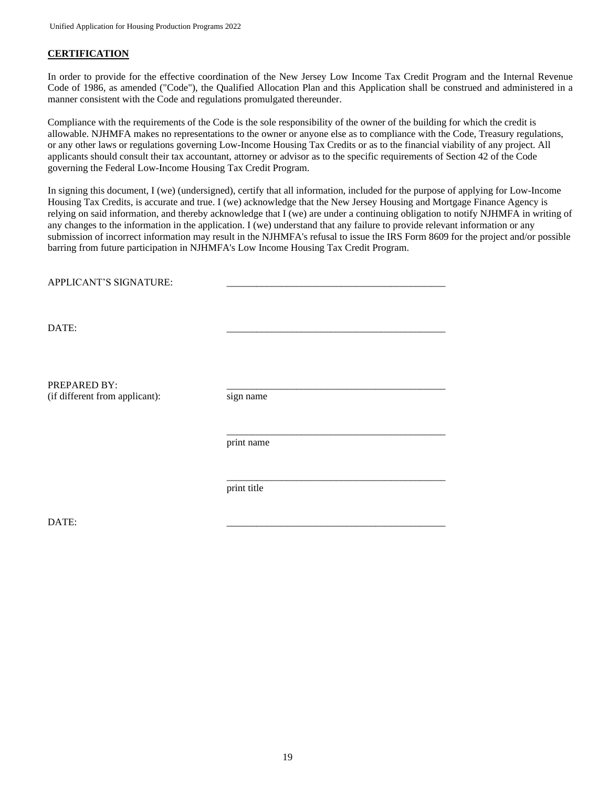#### **CERTIFICATION**

In order to provide for the effective coordination of the New Jersey Low Income Tax Credit Program and the Internal Revenue Code of 1986, as amended ("Code"), the Qualified Allocation Plan and this Application shall be construed and administered in a manner consistent with the Code and regulations promulgated thereunder.

Compliance with the requirements of the Code is the sole responsibility of the owner of the building for which the credit is allowable. NJHMFA makes no representations to the owner or anyone else as to compliance with the Code, Treasury regulations, or any other laws or regulations governing Low-Income Housing Tax Credits or as to the financial viability of any project. All applicants should consult their tax accountant, attorney or advisor as to the specific requirements of Section 42 of the Code governing the Federal Low-Income Housing Tax Credit Program.

In signing this document, I (we) (undersigned), certify that all information, included for the purpose of applying for Low-Income Housing Tax Credits, is accurate and true. I (we) acknowledge that the New Jersey Housing and Mortgage Finance Agency is relying on said information, and thereby acknowledge that I (we) are under a continuing obligation to notify NJHMFA in writing of any changes to the information in the application. I (we) understand that any failure to provide relevant information or any submission of incorrect information may result in the NJHMFA's refusal to issue the IRS Form 8609 for the project and/or possible barring from future participation in NJHMFA's Low Income Housing Tax Credit Program.

| APPLICANT'S SIGNATURE:                         |             |
|------------------------------------------------|-------------|
| DATE:                                          |             |
| PREPARED BY:<br>(if different from applicant): | sign name   |
|                                                | print name  |
|                                                | print title |

DATE: \_\_\_\_\_\_\_\_\_\_\_\_\_\_\_\_\_\_\_\_\_\_\_\_\_\_\_\_\_\_\_\_\_\_\_\_\_\_\_\_\_\_\_\_